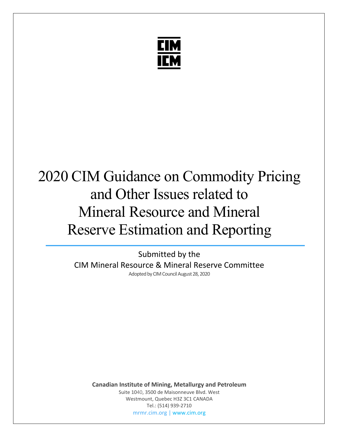

# 2020 CIM Guidance on Commodity Pricing and Other Issues related to Mineral Resource and Mineral Reserve Estimation and Reporting

Submitted by the CIM Mineral Resource & Mineral Reserve Committee Adopted by CIM Council August 28, 2020

**Canadian Institute of Mining, Metallurgy and Petroleum** Suite 1040, 3500 de Maisonneuve Blvd. West Westmount, Quebec H3Z 3C1 CANADA Tel.: (514) 939-2710 [mrmr.cim.org](https://mrmr.cim.org/en/) [| www.cim.org](https://www.cim.org/en)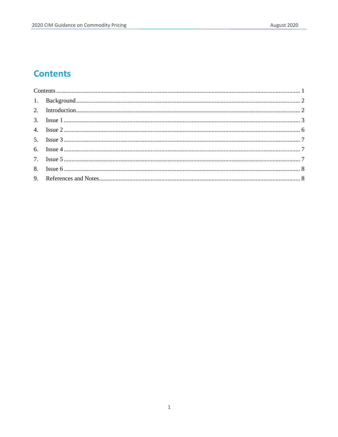# <span id="page-1-0"></span>**Contents**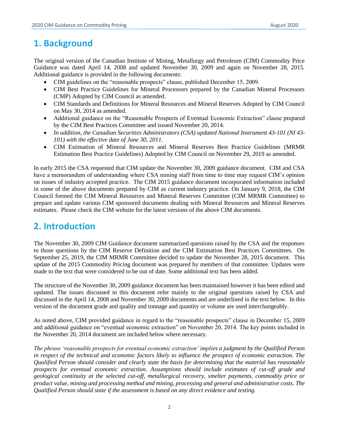# <span id="page-2-0"></span>**1. Background**

The original version of the Canadian Institute of Mining, Metallurgy and Petroleum (CIM) Commodity Price Guidance was dated April 14, 2008 and updated November 30, 2009 and again on November 28, 2015. Additional guidance is provided in the following documents:

- CIM guidelines on the "reasonable prospects" clause, published December 15, 2009.
- CIM Best Practice Guidelines for Mineral Processors prepared by the Canadian Mineral Processors (CMP) Adopted by CIM Council as amended.
- CIM Standards and Definitions for Mineral Resources and Mineral Reserves Adopted by CIM Council on May 30, 2014 as amended.
- Additional guidance on the "Reasonable Prospects of Eventual Economic Extraction" clause prepared by the CIM Best Practices Committee and issued November 20, 2014.
- *In addition, the Canadian Securities Administrators (CSA) updated National Instrument 43-101 (NI 43- 101) with the effective date of June 30, 2011.*
- CIM Estimation of Mineral Resources and Mineral Reserves Best Practice Guidelines (MRMR Estimation Best Practice Guidelines) Adopted by CIM Council on November 29, 2019 as amended.

In early 2015 the CSA requested that CIM update the November 30, 2009 guidance document. CIM and CSA have a memorandum of understanding where CSA mining staff from time to time may request CIM's opinion on issues of industry accepted practice. The CIM 2015 guidance document incorporated information included in some of the above documents prepared by CIM as current industry practice. On January 9, 2018, the CIM Council formed the CIM Mineral Resources and Mineral Reserves Committee (CIM MRMR Committee) to prepare and update various CIM sponsored documents dealing with Mineral Resources and Mineral Reserves estimates. Please check the CIM website for the latest versions of the above CIM documents.

### <span id="page-2-1"></span>**2. Introduction**

The November 30, 2009 CIM Guidance document summarized questions raised by the CSA and the responses to those questions by the CIM Reserve Definition and the CIM Estimation Best Practices Committees. On September 25, 2019, the CIM MRMR Committee decided to update the November 28, 2015 document. This update of the 2015 Commodity Pricing document was prepared by members of that committee. Updates were made to the text that were considered to be out of date. Some additional text has been added.

The structure of the November 30, 2009 guidance document has been maintained however it has been edited and updated. The issues discussed in this document refer mainly to the original questions raised by CSA and discussed in the April 14, 2008 and November 30, 2009 documents and are underlined in the text below. In this version of the document grade and quality and tonnage and quantity or volume are used interchangeably.

As noted above, CIM provided guidance in regard to the "reasonable prospects" clause in December 15, 2009 and additional guidance on "eventual economic extraction" on November 20, 2014. The key points included in the November 20, 2014 document are included below where necessary.

*The phrase 'reasonable prospects for eventual economic extraction' implies a judgment by the Qualified Person in respect of the technical and economic factors likely to influence the prospect of economic extraction. The Qualified Person should consider and clearly state the basis for determining that the material has reasonable prospects for eventual economic extraction. Assumptions should include estimates of cut-off grade and geological continuity at the selected cut-off, metallurgical recovery, smelter payments, commodity price or product value, mining and processing method and mining, processing and general and administrative costs. The Qualified Person should state if the assessment is based on any direct evidence and testing.*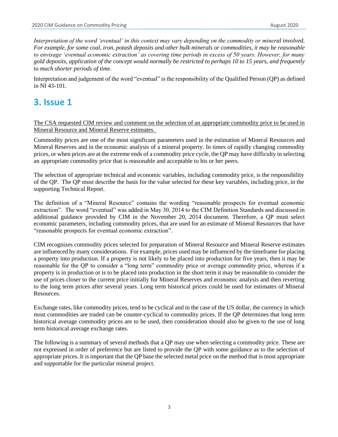*Interpretation of the word 'eventual' in this context may vary depending on the commodity or mineral involved. For example, for some coal, iron, potash deposits and other bulk minerals or commodities, it may be reasonable to envisage 'eventual economic extraction' as covering time periods in excess of 50 years. However, for many gold deposits, application of the concept would normally be restricted to perhaps 10 to 15 years, and frequently to much shorter periods of time.* 

Interpretation and judgement of the word "eventual" is the responsibility of the Qualified Person (QP) as defined in NI 43-101.

# <span id="page-3-0"></span>**3. Issue 1**

The CSA requested CIM review and comment on the selection of an appropriate commodity price to be used in Mineral Resource and Mineral Reserve estimates.

Commodity prices are one of the most significant parameters used in the estimation of Mineral Resources and Mineral Reserves and in the economic analysis of a mineral property. In times of rapidly changing commodity prices, or when prices are at the extreme ends of a commodity price cycle, the QP may have difficulty in selecting an appropriate commodity price that is reasonable and acceptable to his or her peers.

The selection of appropriate technical and economic variables, including commodity price, is the responsibility of the QP. The QP must describe the basis for the value selected for these key variables, including price, in the supporting Technical Report.

The definition of a "Mineral Resource" contains the wording "reasonable prospects for eventual economic extraction". The word "eventual" was added in May 30, 2014 to the CIM Definition Standards and discussed in additional guidance provided by CIM in the November 20, 2014 document. Therefore, a QP must select economic parameters, including commodity prices, that are used for an estimate of Mineral Resources that have "reasonable prospects for eventual economic extraction".

CIM recognizes commodity prices selected for preparation of Mineral Resource and Mineral Reserve estimates are influenced by many considerations. For example, prices used may be influenced by the timeframe for placing a property into production. If a property is not likely to be placed into production for five years, then it may be reasonable for the QP to consider a "long term" commodity price or average commodity price, whereas if a property is in production or is to be placed into production in the short term it may be reasonable to consider the use of prices closer to the current price initially for Mineral Reserves and economic analysis and then reverting to the long term prices after several years. Long term historical prices could be used for estimates of Mineral Resources.

Exchange rates, like commodity prices, tend to be cyclical and in the case of the US dollar, the currency in which most commodities are traded can be counter-cyclical to commodity prices. If the QP determines that long term historical average commodity prices are to be used, then consideration should also be given to the use of long term historical average exchange rates.

The following is a summary of several methods that a QP may use when selecting a commodity price. These are not expressed in order of preference but are listed to provide the QP with some guidance as to the selection of appropriate prices. It is important that the QP base the selected metal price on the method that is most appropriate and supportable for the particular mineral project.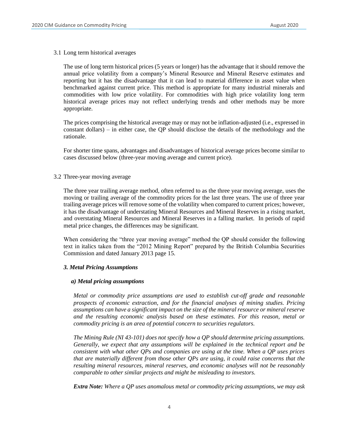3.1 Long term historical averages

The use of long term historical prices (5 years or longer) has the advantage that it should remove the annual price volatility from a company's Mineral Resource and Mineral Reserve estimates and reporting but it has the disadvantage that it can lead to material difference in asset value when benchmarked against current price. This method is appropriate for many industrial minerals and commodities with low price volatility. For commodities with high price volatility long term historical average prices may not reflect underlying trends and other methods may be more appropriate.

The prices comprising the historical average may or may not be inflation-adjusted (i.e., expressed in constant dollars) – in either case, the QP should disclose the details of the methodology and the rationale.

For shorter time spans, advantages and disadvantages of historical average prices become similar to cases discussed below (three-year moving average and current price).

3.2 Three-year moving average

The three year trailing average method, often referred to as the three year moving average, uses the moving or trailing average of the commodity prices for the last three years. The use of three year trailing average prices will remove some of the volatility when compared to current prices; however, it has the disadvantage of understating Mineral Resources and Mineral Reserves in a rising market, and overstating Mineral Resources and Mineral Reserves in a falling market. In periods of rapid metal price changes, the differences may be significant.

When considering the "three year moving average" method the QP should consider the following text in italics taken from the "2012 Mining Report" prepared by the British Columbia Securities Commission and dated January 2013 page 15.

#### *3. Metal Pricing Assumptions*

#### *a) Metal pricing assumptions*

*Metal or commodity price assumptions are used to establish cut‐off grade and reasonable prospects of economic extraction, and for the financial analyses of mining studies. Pricing assumptions can have a significant impact on the size of the mineral resource or mineral reserve and the resulting economic analysis based on these estimates. For this reason, metal or commodity pricing is an area of potential concern to securities regulators.*

*The Mining Rule (NI 43-101) does not specify how a QP should determine pricing assumptions. Generally, we expect that any assumptions will be explained in the technical report and be consistent with what other QPs and companies are using at the time. When a QP uses prices that are materially different from those other QPs are using, it could raise concerns that the resulting mineral resources, mineral reserves, and economic analyses will not be reasonably comparable to other similar projects and might be misleading to investors.*

*Extra Note: Where a QP uses anomalous metal or commodity pricing assumptions, we may ask*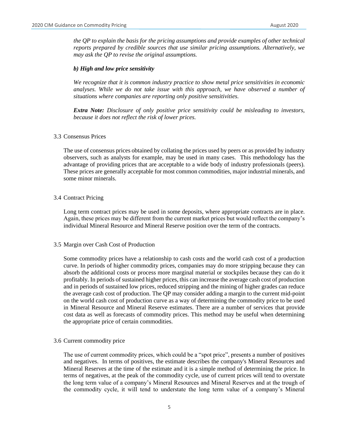*the QP to explain the basis for the pricing assumptions and provide examples of other technical reports prepared by credible sources that use similar pricing assumptions. Alternatively, we may ask the QP to revise the original assumptions.*

#### *b) High and low price sensitivity*

*We recognize that it is common industry practice to show metal price sensitivities in economic analyses. While we do not take issue with this approach, we have observed a number of situations where companies are reporting only positive sensitivities.*

*Extra Note: Disclosure of only positive price sensitivity could be misleading to investors, because it does not reflect the risk of lower prices.*

#### 3.3 Consensus Prices

The use of consensus prices obtained by collating the prices used by peers or as provided by industry observers, such as analysts for example, may be used in many cases. This methodology has the advantage of providing prices that are acceptable to a wide body of industry professionals (peers). These prices are generally acceptable for most common commodities, major industrial minerals, and some minor minerals.

#### 3.4 Contract Pricing

Long term contract prices may be used in some deposits, where appropriate contracts are in place. Again, these prices may be different from the current market prices but would reflect the company's individual Mineral Resource and Mineral Reserve position over the term of the contracts.

#### 3.5 Margin over Cash Cost of Production

Some commodity prices have a relationship to cash costs and the world cash cost of a production curve. In periods of higher commodity prices, companies may do more stripping because they can absorb the additional costs or process more marginal material or stockpiles because they can do it profitably. In periods of sustained higher prices, this can increase the average cash cost of production and in periods of sustained low prices, reduced stripping and the mining of higher grades can reduce the average cash cost of production. The QP may consider adding a margin to the current mid-point on the world cash cost of production curve as a way of determining the commodity price to be used in Mineral Resource and Mineral Reserve estimates. There are a number of services that provide cost data as well as forecasts of commodity prices. This method may be useful when determining the appropriate price of certain commodities.

#### 3.6 Current commodity price

The use of current commodity prices, which could be a "spot price", presents a number of positives and negatives. In terms of positives, the estimate describes the company's Mineral Resources and Mineral Reserves at the time of the estimate and it is a simple method of determining the price. In terms of negatives, at the peak of the commodity cycle, use of current prices will tend to overstate the long term value of a company's Mineral Resources and Mineral Reserves and at the trough of the commodity cycle, it will tend to understate the long term value of a company's Mineral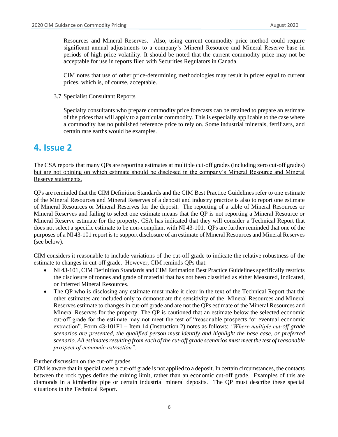Resources and Mineral Reserves. Also, using current commodity price method could require significant annual adjustments to a company's Mineral Resource and Mineral Reserve base in periods of high price volatility. It should be noted that the current commodity price may not be acceptable for use in reports filed with Securities Regulators in Canada.

CIM notes that use of other price-determining methodologies may result in prices equal to current prices, which is, of course, acceptable.

3.7 Specialist Consultant Reports

Specialty consultants who prepare commodity price forecasts can be retained to prepare an estimate of the prices that will apply to a particular commodity. This is especially applicable to the case where a commodity has no published reference price to rely on. Some industrial minerals, fertilizers, and certain rare earths would be examples.

# <span id="page-6-0"></span>**4. Issue 2**

The CSA reports that many QPs are reporting estimates at multiple cut-off grades (including zero cut-off grades) but are not opining on which estimate should be disclosed in the company's Mineral Resource and Mineral Reserve statements.

QPs are reminded that the CIM Definition Standards and the CIM Best Practice Guidelines refer to one estimate of the Mineral Resources and Mineral Reserves of a deposit and industry practice is also to report one estimate of Mineral Resources or Mineral Reserves for the deposit. The reporting of a table of Mineral Resources or Mineral Reserves and failing to select one estimate means that the QP is not reporting a Mineral Resource or Mineral Reserve estimate for the property. CSA has indicated that they will consider a Technical Report that does not select a specific estimate to be non-compliant with NI 43-101. QPs are further reminded that one of the purposes of a NI 43-101 report is to support disclosure of an estimate of Mineral Resources and Mineral Reserves (see below).

CIM considers it reasonable to include variations of the cut-off grade to indicate the relative robustness of the estimate to changes in cut-off grade. However, CIM reminds QPs that:

- NI 43-101, CIM Definition Standards and CIM Estimation Best Practice Guidelines specifically restricts the disclosure of tonnes and grade of material that has not been classified as either Measured, Indicated, or Inferred Mineral Resources.
- The QP who is disclosing any estimate must make it clear in the text of the Technical Report that the other estimates are included only to demonstrate the sensitivity of the Mineral Resources and Mineral Reserves estimate to changes in cut-off grade and are not the QPs estimate of the Mineral Resources and Mineral Reserves for the property. The QP is cautioned that an estimate below the selected economic cut-off grade for the estimate may not meet the test of "reasonable prospects for eventual economic extraction". Form 43-101F1 – Item 14 (Instruction 2) notes as follows: *"Where multiple cut-off grade scenarios are presented, the qualified person must identify and highlight the base case, or preferred scenario. All estimates resulting from each of the cut-off grade scenarios must meet the test of reasonable prospect of economic extraction".*

#### Further discussion on the cut-off grades

CIM is aware that in special cases a cut-off grade is not applied to a deposit. In certain circumstances, the contacts between the rock types define the mining limit, rather than an economic cut-off grade. Examples of this are diamonds in a kimberlite pipe or certain industrial mineral deposits. The QP must describe these special situations in the Technical Report.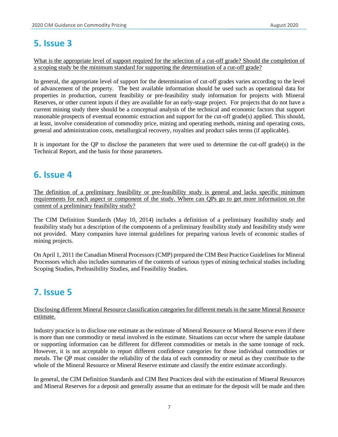# <span id="page-7-0"></span>**5. Issue 3**

What is the appropriate level of support required for the selection of a cut-off grade? Should the completion of a scoping study be the minimum standard for supporting the determination of a cut-off grade?

In general, the appropriate level of support for the determination of cut-off grades varies according to the level of advancement of the property. The best available information should be used such as operational data for properties in production, current feasibility or pre-feasibility study information for projects with Mineral Reserves, or other current inputs if they are available for an early-stage project. For projects that do not have a current mining study there should be a conceptual analysis of the technical and economic factors that support reasonable prospects of eventual economic extraction and support for the cut-off grade(s) applied. This should, at least, involve consideration of commodity price, mining and operating methods, mining and operating costs, general and administration costs, metallurgical recovery, royalties and product sales terms (if applicable).

It is important for the QP to disclose the parameters that were used to determine the cut-off grade(s) in the Technical Report, and the basis for those parameters.

# <span id="page-7-1"></span>**6. Issue 4**

The definition of a preliminary feasibility or pre-feasibility study is general and lacks specific minimum requirements for each aspect or component of the study. Where can QPs go to get more information on the content of a preliminary feasibility study?

The CIM Definition Standards (May 10, 2014) includes a definition of a preliminary feasibility study and feasibility study but a description of the components of a preliminary feasibility study and feasibility study were not provided. Many companies have internal guidelines for preparing various levels of economic studies of mining projects.

On April 1, 2011 the Canadian Mineral Processors (CMP) prepared the CIM Best Practice Guidelines for Mineral Processors which also includes summaries of the contents of various types of mining technical studies including Scoping Studies, Prefeasibility Studies, and Feasibility Studies.

# <span id="page-7-2"></span>**7. Issue 5**

#### Disclosing different Mineral Resource classification categories for different metals in the same Mineral Resource estimate.

Industry practice is to disclose one estimate as the estimate of Mineral Resource or Mineral Reserve even if there is more than one commodity or metal involved in the estimate. Situations can occur where the sample database or supporting information can be different for different commodities or metals in the same tonnage of rock. However, it is not acceptable to report different confidence categories for those individual commodities or metals. The QP must consider the reliability of the data of each commodity or metal as they contribute to the whole of the Mineral Resource or Mineral Reserve estimate and classify the entire estimate accordingly.

In general, the CIM Definition Standards and CIM Best Practices deal with the estimation of Mineral Resources and Mineral Reserves for a deposit and generally assume that an estimate for the deposit will be made and then